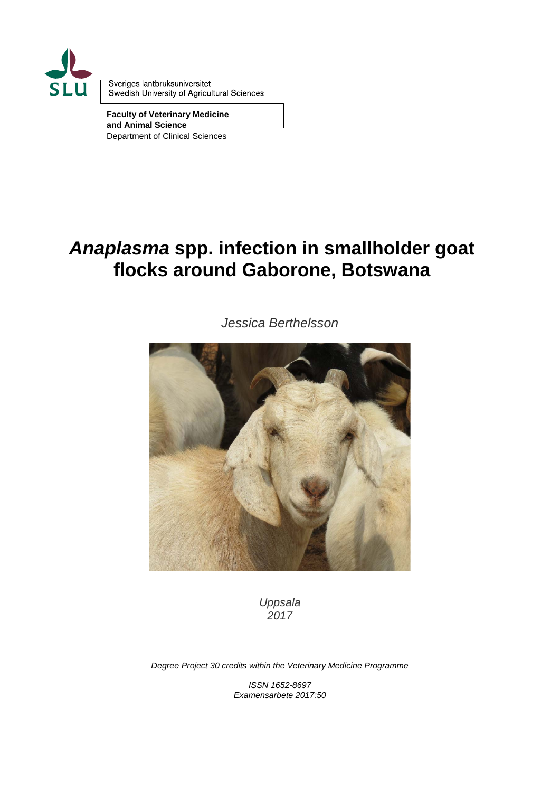

Sveriges lantbruksuniversitet Swedish University of Agricultural Sciences

**Faculty of Veterinary Medicine and Animal Science** Department of Clinical Sciences

# *Anaplasma* **spp. infection in smallholder goat flocks around Gaborone, Botswana**

*Jessica Berthelsson*



*Uppsala 2017*

*Degree Project 30 credits within the Veterinary Medicine Programme*

*ISSN 1652-8697 Examensarbete 2017:50*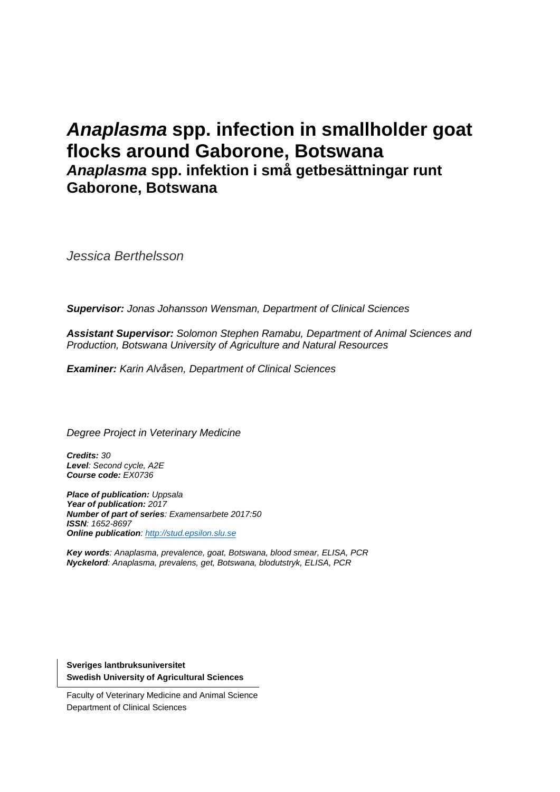## *Anaplasma* **spp. infection in smallholder goat flocks around Gaborone, Botswana** *Anaplasma* **spp. infektion i små getbesättningar runt Gaborone, Botswana**

*Jessica Berthelsson*

*Supervisor: Jonas Johansson Wensman, Department of Clinical Sciences*

*Assistant Supervisor: Solomon Stephen Ramabu, Department of Animal Sciences and Production, Botswana University of Agriculture and Natural Resources*

*Examiner: Karin Alvåsen, Department of Clinical Sciences*

*Degree Project in Veterinary Medicine*

*Credits: 30 Level: Second cycle, A2E Course code: EX0736*

*Place of publication: Uppsala Year of publication: 2017 Number of part of series: Examensarbete 2017:50 ISSN: 1652-8697 Online publication[: http://stud.epsilon.slu.se](http://stud.epsilon.slu.se/)*

*Key words: Anaplasma, prevalence, goat, Botswana, blood smear, ELISA, PCR Nyckelord: Anaplasma, prevalens, get, Botswana, blodutstryk, ELISA, PCR*

**Sveriges lantbruksuniversitet Swedish University of Agricultural Sciences**

Faculty of Veterinary Medicine and Animal Science Department of Clinical Sciences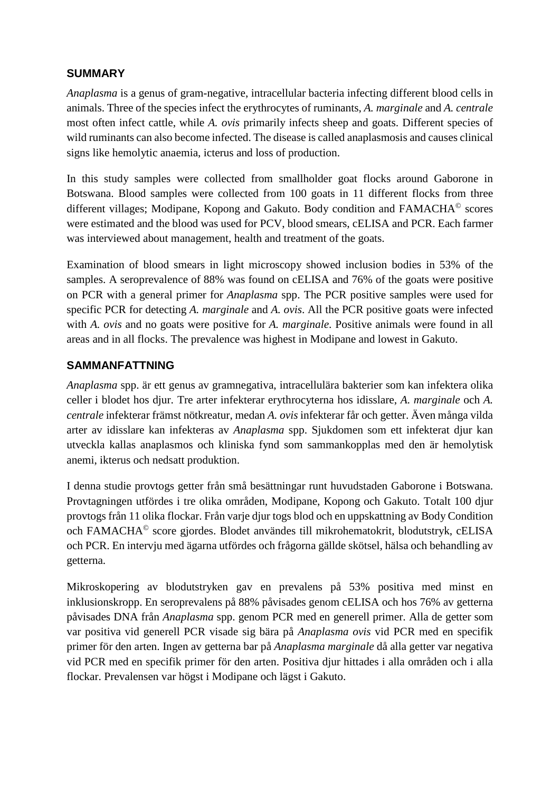#### **SUMMARY**

*Anaplasma* is a genus of gram-negative, intracellular bacteria infecting different blood cells in animals. Three of the species infect the erythrocytes of ruminants, *A. marginale* and *A. centrale* most often infect cattle, while *A. ovis* primarily infects sheep and goats. Different species of wild ruminants can also become infected. The disease is called anaplasmosis and causes clinical signs like hemolytic anaemia, icterus and loss of production.

In this study samples were collected from smallholder goat flocks around Gaborone in Botswana. Blood samples were collected from 100 goats in 11 different flocks from three different villages; Modipane, Kopong and Gakuto. Body condition and FAMACHA© scores were estimated and the blood was used for PCV, blood smears, cELISA and PCR. Each farmer was interviewed about management, health and treatment of the goats.

Examination of blood smears in light microscopy showed inclusion bodies in 53% of the samples. A seroprevalence of 88% was found on cELISA and 76% of the goats were positive on PCR with a general primer for *Anaplasma* spp. The PCR positive samples were used for specific PCR for detecting *A. marginale* and *A. ovis*. All the PCR positive goats were infected with *A. ovis* and no goats were positive for *A. marginale*. Positive animals were found in all areas and in all flocks. The prevalence was highest in Modipane and lowest in Gakuto.

#### **SAMMANFATTNING**

*Anaplasma* spp. är ett genus av gramnegativa, intracellulära bakterier som kan infektera olika celler i blodet hos djur. Tre arter infekterar erythrocyterna hos idisslare, *A. marginale* och *A. centrale* infekterar främst nötkreatur, medan *A. ovis* infekterar får och getter. Även många vilda arter av idisslare kan infekteras av *Anaplasma* spp. Sjukdomen som ett infekterat djur kan utveckla kallas anaplasmos och kliniska fynd som sammankopplas med den är hemolytisk anemi, ikterus och nedsatt produktion.

I denna studie provtogs getter från små besättningar runt huvudstaden Gaborone i Botswana. Provtagningen utfördes i tre olika områden, Modipane, Kopong och Gakuto. Totalt 100 djur provtogs från 11 olika flockar. Från varje djur togs blod och en uppskattning av Body Condition och FAMACHA© score gjordes. Blodet användes till mikrohematokrit, blodutstryk, cELISA och PCR. En intervju med ägarna utfördes och frågorna gällde skötsel, hälsa och behandling av getterna.

Mikroskopering av blodutstryken gav en prevalens på 53% positiva med minst en inklusionskropp. En seroprevalens på 88% påvisades genom cELISA och hos 76% av getterna påvisades DNA från *Anaplasma* spp. genom PCR med en generell primer. Alla de getter som var positiva vid generell PCR visade sig bära på *Anaplasma ovis* vid PCR med en specifik primer för den arten. Ingen av getterna bar på *Anaplasma marginale* då alla getter var negativa vid PCR med en specifik primer för den arten. Positiva djur hittades i alla områden och i alla flockar. Prevalensen var högst i Modipane och lägst i Gakuto.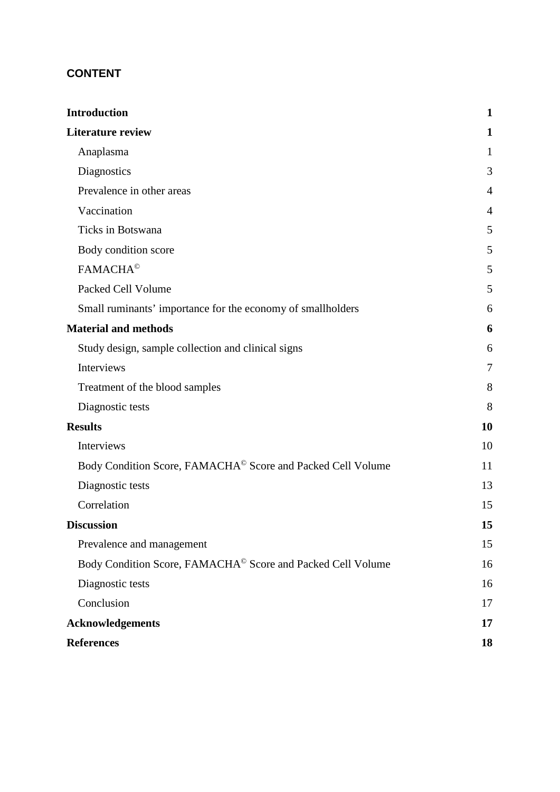## **CONTENT**

| 1<br>Anaplasma<br>1<br>Diagnostics<br>Prevalence in other areas<br>4<br>Vaccination<br>4<br>Ticks in Botswana<br>5<br>5<br>Body condition score<br><b>FAMACHA<sup>©</sup></b><br>5<br>Packed Cell Volume<br>Small ruminants' importance for the economy of smallholders<br>6<br>Study design, sample collection and clinical signs<br>6<br>Interviews<br>7<br>Treatment of the blood samples<br>Diagnostic tests<br>8<br><b>10</b><br>Interviews<br>10<br>Body Condition Score, FAMACHA <sup>©</sup> Score and Packed Cell Volume<br>11<br>13<br>Diagnostic tests<br>Correlation<br>15<br><b>Discussion</b><br>Prevalence and management<br>Body Condition Score, FAMACHA <sup>©</sup> Score and Packed Cell Volume<br>Diagnostic tests<br>Conclusion<br><b>Acknowledgements</b><br><b>References</b> | <b>Introduction</b>         | $\mathbf{1}$ |
|-------------------------------------------------------------------------------------------------------------------------------------------------------------------------------------------------------------------------------------------------------------------------------------------------------------------------------------------------------------------------------------------------------------------------------------------------------------------------------------------------------------------------------------------------------------------------------------------------------------------------------------------------------------------------------------------------------------------------------------------------------------------------------------------------------|-----------------------------|--------------|
|                                                                                                                                                                                                                                                                                                                                                                                                                                                                                                                                                                                                                                                                                                                                                                                                       | <b>Literature review</b>    |              |
|                                                                                                                                                                                                                                                                                                                                                                                                                                                                                                                                                                                                                                                                                                                                                                                                       |                             |              |
|                                                                                                                                                                                                                                                                                                                                                                                                                                                                                                                                                                                                                                                                                                                                                                                                       |                             | 3            |
|                                                                                                                                                                                                                                                                                                                                                                                                                                                                                                                                                                                                                                                                                                                                                                                                       |                             |              |
|                                                                                                                                                                                                                                                                                                                                                                                                                                                                                                                                                                                                                                                                                                                                                                                                       |                             |              |
|                                                                                                                                                                                                                                                                                                                                                                                                                                                                                                                                                                                                                                                                                                                                                                                                       |                             |              |
|                                                                                                                                                                                                                                                                                                                                                                                                                                                                                                                                                                                                                                                                                                                                                                                                       |                             |              |
|                                                                                                                                                                                                                                                                                                                                                                                                                                                                                                                                                                                                                                                                                                                                                                                                       |                             |              |
|                                                                                                                                                                                                                                                                                                                                                                                                                                                                                                                                                                                                                                                                                                                                                                                                       |                             | 5            |
|                                                                                                                                                                                                                                                                                                                                                                                                                                                                                                                                                                                                                                                                                                                                                                                                       |                             |              |
|                                                                                                                                                                                                                                                                                                                                                                                                                                                                                                                                                                                                                                                                                                                                                                                                       | <b>Material and methods</b> | 6            |
|                                                                                                                                                                                                                                                                                                                                                                                                                                                                                                                                                                                                                                                                                                                                                                                                       |                             |              |
|                                                                                                                                                                                                                                                                                                                                                                                                                                                                                                                                                                                                                                                                                                                                                                                                       |                             |              |
|                                                                                                                                                                                                                                                                                                                                                                                                                                                                                                                                                                                                                                                                                                                                                                                                       |                             | 8            |
|                                                                                                                                                                                                                                                                                                                                                                                                                                                                                                                                                                                                                                                                                                                                                                                                       |                             |              |
|                                                                                                                                                                                                                                                                                                                                                                                                                                                                                                                                                                                                                                                                                                                                                                                                       | <b>Results</b>              |              |
|                                                                                                                                                                                                                                                                                                                                                                                                                                                                                                                                                                                                                                                                                                                                                                                                       |                             |              |
|                                                                                                                                                                                                                                                                                                                                                                                                                                                                                                                                                                                                                                                                                                                                                                                                       |                             |              |
|                                                                                                                                                                                                                                                                                                                                                                                                                                                                                                                                                                                                                                                                                                                                                                                                       |                             |              |
|                                                                                                                                                                                                                                                                                                                                                                                                                                                                                                                                                                                                                                                                                                                                                                                                       |                             |              |
|                                                                                                                                                                                                                                                                                                                                                                                                                                                                                                                                                                                                                                                                                                                                                                                                       |                             | 15           |
|                                                                                                                                                                                                                                                                                                                                                                                                                                                                                                                                                                                                                                                                                                                                                                                                       |                             | 15           |
|                                                                                                                                                                                                                                                                                                                                                                                                                                                                                                                                                                                                                                                                                                                                                                                                       |                             | 16           |
|                                                                                                                                                                                                                                                                                                                                                                                                                                                                                                                                                                                                                                                                                                                                                                                                       |                             | 16           |
|                                                                                                                                                                                                                                                                                                                                                                                                                                                                                                                                                                                                                                                                                                                                                                                                       |                             | 17           |
|                                                                                                                                                                                                                                                                                                                                                                                                                                                                                                                                                                                                                                                                                                                                                                                                       |                             | 17           |
|                                                                                                                                                                                                                                                                                                                                                                                                                                                                                                                                                                                                                                                                                                                                                                                                       |                             | 18           |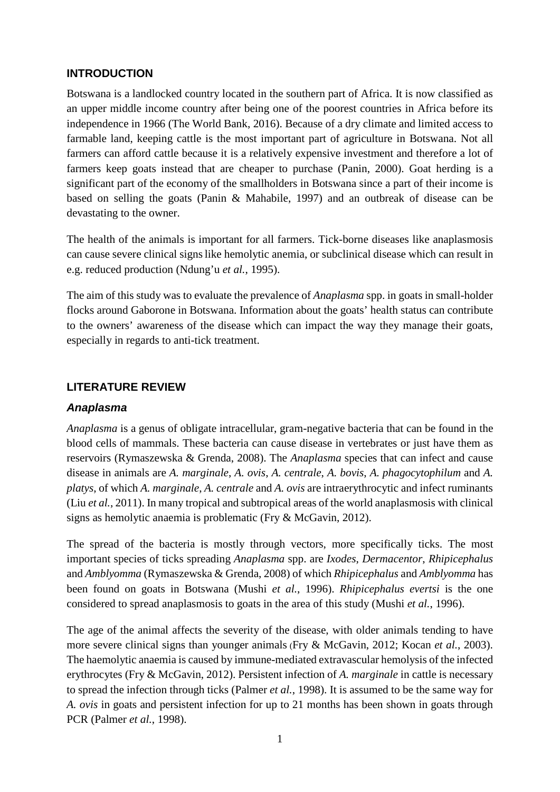#### <span id="page-7-0"></span>**INTRODUCTION**

Botswana is a landlocked country located in the southern part of Africa. It is now classified as an upper middle income country after being one of the poorest countries in Africa before its independence in 1966 (The World Bank, 2016). Because of a dry climate and limited access to farmable land, keeping cattle is the most important part of agriculture in Botswana. Not all farmers can afford cattle because it is a relatively expensive investment and therefore a lot of farmers keep goats instead that are cheaper to purchase (Panin, 2000). Goat herding is a significant part of the economy of the smallholders in Botswana since a part of their income is based on selling the goats (Panin & Mahabile, 1997) and an outbreak of disease can be devastating to the owner.

The health of the animals is important for all farmers. Tick-borne diseases like anaplasmosis can cause severe clinical signslike hemolytic anemia, or subclinical disease which can result in e.g. reduced production (Ndung'u *et al.*, 1995).

The aim of this study was to evaluate the prevalence of *Anaplasma* spp. in goats in small-holder flocks around Gaborone in Botswana. Information about the goats' health status can contribute to the owners' awareness of the disease which can impact the way they manage their goats, especially in regards to anti-tick treatment.

#### <span id="page-7-1"></span>**LITERATURE REVIEW**

#### <span id="page-7-2"></span>*Anaplasma*

*Anaplasma* is a genus of obligate intracellular, gram-negative bacteria that can be found in the blood cells of mammals. These bacteria can cause disease in vertebrates or just have them as reservoirs (Rymaszewska & Grenda, 2008). The *Anaplasma* species that can infect and cause disease in animals are *A. marginale*, *A. ovis*, *A. centrale*, *A. bovis*, *A. phagocytophilum* and *A. platys*, of which *A. marginale*, *A. centrale* and *A. ovis* are intraerythrocytic and infect ruminants (Liu *et al.*, 2011). In many tropical and subtropical areas of the world anaplasmosis with clinical signs as hemolytic anaemia is problematic (Fry & McGavin, 2012).

The spread of the bacteria is mostly through vectors, more specifically ticks. The most important species of ticks spreading *Anaplasma* spp. are *Ixodes*, *Dermacentor*, *Rhipicephalus* and *Amblyomma* (Rymaszewska & Grenda, 2008) of which *Rhipicephalus* and *Amblyomma* has been found on goats in Botswana (Mushi *et al.*, 1996). *Rhipicephalus evertsi* is the one considered to spread anaplasmosis to goats in the area of this study (Mushi *et al.*, 1996).

The age of the animal affects the severity of the disease, with older animals tending to have more severe clinical signs than younger animals (Fry & McGavin, 2012; Kocan *et al.*, 2003). The haemolytic anaemia is caused by immune-mediated extravascular hemolysis of the infected erythrocytes (Fry & McGavin, 2012). Persistent infection of *A. marginale* in cattle is necessary to spread the infection through ticks (Palmer *et al.*, 1998). It is assumed to be the same way for *A. ovis* in goats and persistent infection for up to 21 months has been shown in goats through PCR (Palmer *et al.*, 1998).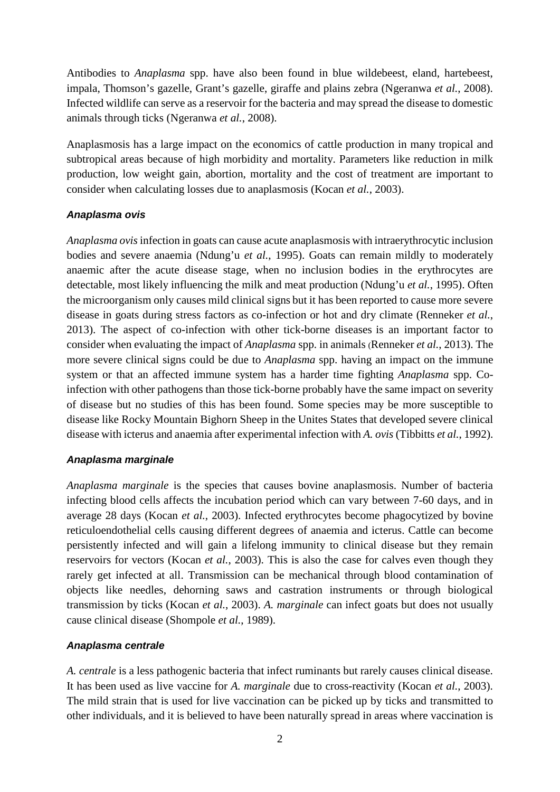Antibodies to *Anaplasma* spp. have also been found in blue wildebeest, eland, hartebeest, impala, Thomson's gazelle, Grant's gazelle, giraffe and plains zebra (Ngeranwa *et al.*, 2008). Infected wildlife can serve as a reservoir for the bacteria and may spread the disease to domestic animals through ticks (Ngeranwa *et al.*, 2008).

Anaplasmosis has a large impact on the economics of cattle production in many tropical and subtropical areas because of high morbidity and mortality. Parameters like reduction in milk production, low weight gain, abortion, mortality and the cost of treatment are important to consider when calculating losses due to anaplasmosis (Kocan *et al.*, 2003).

#### *Anaplasma ovis*

*Anaplasma ovis*infection in goats can cause acute anaplasmosis with intraerythrocytic inclusion bodies and severe anaemia (Ndung'u *et al.*, 1995). Goats can remain mildly to moderately anaemic after the acute disease stage, when no inclusion bodies in the erythrocytes are detectable, most likely influencing the milk and meat production (Ndung'u *et al.*, 1995). Often the microorganism only causes mild clinical signs but it has been reported to cause more severe disease in goats during stress factors as co-infection or hot and dry climate (Renneker *et al.*, 2013). The aspect of co-infection with other tick-borne diseases is an important factor to consider when evaluating the impact of *Anaplasma* spp. in animals (Renneker *et al.*, 2013). The more severe clinical signs could be due to *Anaplasma* spp. having an impact on the immune system or that an affected immune system has a harder time fighting *Anaplasma* spp. Coinfection with other pathogens than those tick-borne probably have the same impact on severity of disease but no studies of this has been found. Some species may be more susceptible to disease like Rocky Mountain Bighorn Sheep in the Unites States that developed severe clinical disease with icterus and anaemia after experimental infection with *A. ovis* (Tibbitts *et al.*, 1992).

#### *Anaplasma marginale*

*Anaplasma marginale* is the species that causes bovine anaplasmosis. Number of bacteria infecting blood cells affects the incubation period which can vary between 7-60 days, and in average 28 days (Kocan *et al.*, 2003). Infected erythrocytes become phagocytized by bovine reticuloendothelial cells causing different degrees of anaemia and icterus. Cattle can become persistently infected and will gain a lifelong immunity to clinical disease but they remain reservoirs for vectors (Kocan *et al.*, 2003). This is also the case for calves even though they rarely get infected at all. Transmission can be mechanical through blood contamination of objects like needles, dehorning saws and castration instruments or through biological transmission by ticks (Kocan *et al.*, 2003). *A. marginale* can infect goats but does not usually cause clinical disease (Shompole *et al.*, 1989).

#### *Anaplasma centrale*

*A. centrale* is a less pathogenic bacteria that infect ruminants but rarely causes clinical disease. It has been used as live vaccine for *A. marginale* due to cross-reactivity (Kocan *et al.*, 2003). The mild strain that is used for live vaccination can be picked up by ticks and transmitted to other individuals, and it is believed to have been naturally spread in areas where vaccination is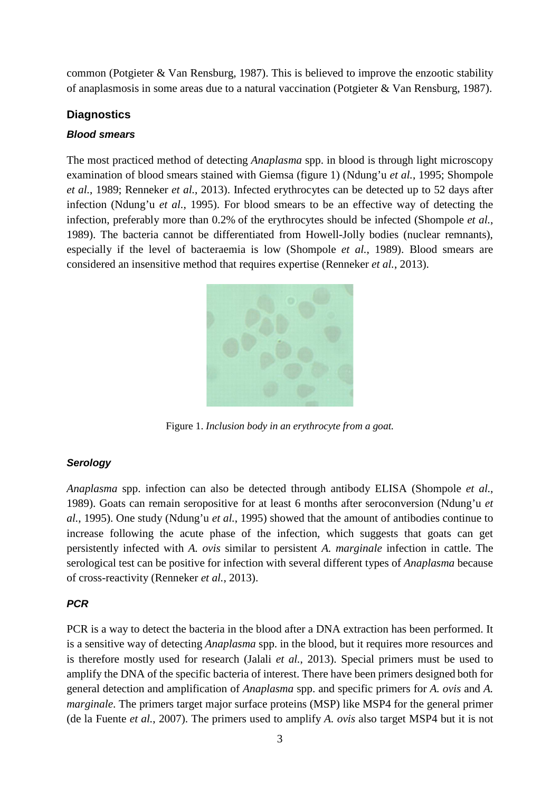common (Potgieter & Van Rensburg, 1987). This is believed to improve the enzootic stability of anaplasmosis in some areas due to a natural vaccination (Potgieter & Van Rensburg, 1987).

#### <span id="page-9-0"></span>**Diagnostics**

#### *Blood smears*

The most practiced method of detecting *Anaplasma* spp. in blood is through light microscopy examination of blood smears stained with Giemsa (figure 1) (Ndung'u *et al.*, 1995; Shompole *et al.*, 1989; Renneker *et al.*, 2013). Infected erythrocytes can be detected up to 52 days after infection (Ndung'u *et al.*, 1995). For blood smears to be an effective way of detecting the infection, preferably more than 0.2% of the erythrocytes should be infected (Shompole *et al.*, 1989). The bacteria cannot be differentiated from Howell-Jolly bodies (nuclear remnants), especially if the level of bacteraemia is low (Shompole *et al.*, 1989). Blood smears are considered an insensitive method that requires expertise (Renneker *et al.*, 2013).



Figure 1. *Inclusion body in an erythrocyte from a goat.*

#### *Serology*

*Anaplasma* spp. infection can also be detected through antibody ELISA (Shompole *et al.*, 1989). Goats can remain seropositive for at least 6 months after seroconversion (Ndung'u *et al.*, 1995). One study (Ndung'u *et al.*, 1995) showed that the amount of antibodies continue to increase following the acute phase of the infection, which suggests that goats can get persistently infected with *A. ovis* similar to persistent *A. marginale* infection in cattle. The serological test can be positive for infection with several different types of *Anaplasma* because of cross-reactivity (Renneker *et al.*, 2013).

#### *PCR*

PCR is a way to detect the bacteria in the blood after a DNA extraction has been performed. It is a sensitive way of detecting *Anaplasma* spp. in the blood, but it requires more resources and is therefore mostly used for research (Jalali *et al.*, 2013). Special primers must be used to amplify the DNA of the specific bacteria of interest. There have been primers designed both for general detection and amplification of *Anaplasma* spp. and specific primers for *A. ovis* and *A. marginale*. The primers target major surface proteins (MSP) like MSP4 for the general primer (de la Fuente *et al.*, 2007). The primers used to amplify *A. ovis* also target MSP4 but it is not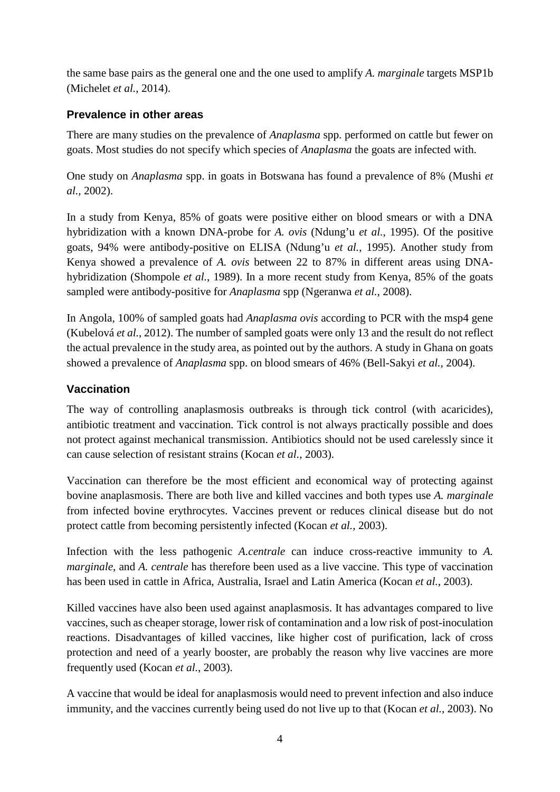the same base pairs as the general one and the one used to amplify *A. marginale* targets MSP1b (Michelet *et al.*, 2014).

## <span id="page-10-0"></span>**Prevalence in other areas**

There are many studies on the prevalence of *Anaplasma* spp. performed on cattle but fewer on goats. Most studies do not specify which species of *Anaplasma* the goats are infected with.

One study on *Anaplasma* spp. in goats in Botswana has found a prevalence of 8% (Mushi *et al.*, 2002).

In a study from Kenya, 85% of goats were positive either on blood smears or with a DNA hybridization with a known DNA-probe for *A. ovis* (Ndung'u *et al.*, 1995). Of the positive goats, 94% were antibody-positive on ELISA (Ndung'u *et al.*, 1995). Another study from Kenya showed a prevalence of *A. ovis* between 22 to 87% in different areas using DNAhybridization (Shompole *et al.*, 1989). In a more recent study from Kenya, 85% of the goats sampled were antibody-positive for *Anaplasma* spp (Ngeranwa *et al.*, 2008).

In Angola, 100% of sampled goats had *Anaplasma ovis* according to PCR with the msp4 gene (Kubelová *et al.*, 2012). The number of sampled goats were only 13 and the result do not reflect the actual prevalence in the study area, as pointed out by the authors. A study in Ghana on goats showed a prevalence of *Anaplasma* spp. on blood smears of 46% (Bell-Sakyi *et al.*, 2004).

## <span id="page-10-1"></span>**Vaccination**

The way of controlling anaplasmosis outbreaks is through tick control (with acaricides), antibiotic treatment and vaccination. Tick control is not always practically possible and does not protect against mechanical transmission. Antibiotics should not be used carelessly since it can cause selection of resistant strains (Kocan *et al.*, 2003).

Vaccination can therefore be the most efficient and economical way of protecting against bovine anaplasmosis. There are both live and killed vaccines and both types use *A. marginale*  from infected bovine erythrocytes. Vaccines prevent or reduces clinical disease but do not protect cattle from becoming persistently infected (Kocan *et al.*, 2003).

Infection with the less pathogenic *A.centrale* can induce cross-reactive immunity to *A. marginale*, and *A. centrale* has therefore been used as a live vaccine. This type of vaccination has been used in cattle in Africa, Australia, Israel and Latin America (Kocan *et al.*, 2003).

Killed vaccines have also been used against anaplasmosis. It has advantages compared to live vaccines, such as cheaper storage, lower risk of contamination and a low risk of post-inoculation reactions. Disadvantages of killed vaccines, like higher cost of purification, lack of cross protection and need of a yearly booster, are probably the reason why live vaccines are more frequently used (Kocan *et al.*, 2003).

A vaccine that would be ideal for anaplasmosis would need to prevent infection and also induce immunity, and the vaccines currently being used do not live up to that (Kocan *et al.*, 2003). No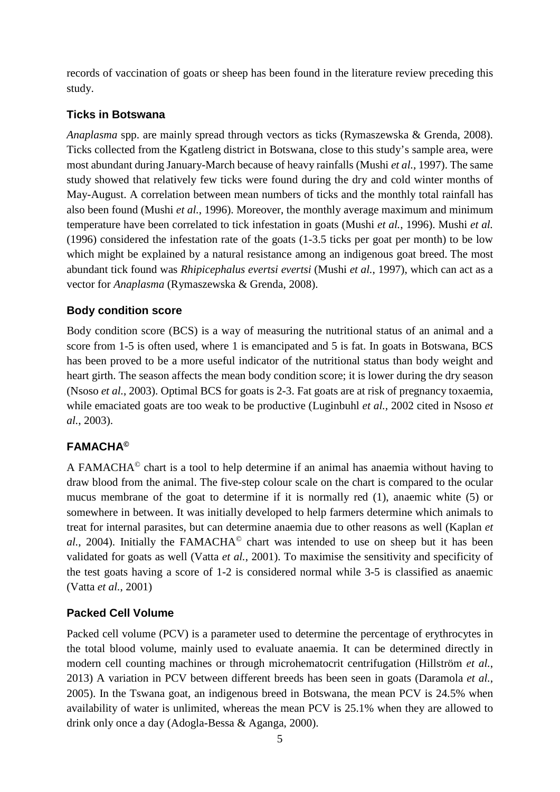records of vaccination of goats or sheep has been found in the literature review preceding this study.

## <span id="page-11-0"></span>**Ticks in Botswana**

*Anaplasma* spp. are mainly spread through vectors as ticks (Rymaszewska & Grenda, 2008). Ticks collected from the Kgatleng district in Botswana, close to this study's sample area, were most abundant during January-March because of heavy rainfalls (Mushi *et al.*, 1997). The same study showed that relatively few ticks were found during the dry and cold winter months of May-August. A correlation between mean numbers of ticks and the monthly total rainfall has also been found (Mushi *et al.*, 1996). Moreover, the monthly average maximum and minimum temperature have been correlated to tick infestation in goats (Mushi *et al.*, 1996). Mushi *et al.* (1996) considered the infestation rate of the goats (1-3.5 ticks per goat per month) to be low which might be explained by a natural resistance among an indigenous goat breed. The most abundant tick found was *Rhipicephalus evertsi evertsi* (Mushi *et al.*, 1997), which can act as a vector for *Anaplasma* (Rymaszewska & Grenda, 2008).

## <span id="page-11-1"></span>**Body condition score**

Body condition score (BCS) is a way of measuring the nutritional status of an animal and a score from 1-5 is often used, where 1 is emancipated and 5 is fat. In goats in Botswana, BCS has been proved to be a more useful indicator of the nutritional status than body weight and heart girth. The season affects the mean body condition score; it is lower during the dry season (Nsoso *et al.*, 2003). Optimal BCS for goats is 2-3. Fat goats are at risk of pregnancy toxaemia, while emaciated goats are too weak to be productive (Luginbuhl *et al.*, 2002 cited in Nsoso *et al.*, 2003).

## <span id="page-11-2"></span>**FAMACHA©**

A FAMACHA© chart is a tool to help determine if an animal has anaemia without having to draw blood from the animal. The five-step colour scale on the chart is compared to the ocular mucus membrane of the goat to determine if it is normally red (1), anaemic white (5) or somewhere in between. It was initially developed to help farmers determine which animals to treat for internal parasites, but can determine anaemia due to other reasons as well (Kaplan *et al.*, 2004). Initially the FAMACHA<sup>©</sup> chart was intended to use on sheep but it has been validated for goats as well (Vatta *et al.*, 2001). To maximise the sensitivity and specificity of the test goats having a score of 1-2 is considered normal while 3-5 is classified as anaemic (Vatta *et al.*, 2001)

## <span id="page-11-3"></span>**Packed Cell Volume**

Packed cell volume (PCV) is a parameter used to determine the percentage of erythrocytes in the total blood volume, mainly used to evaluate anaemia. It can be determined directly in modern cell counting machines or through microhematocrit centrifugation (Hillström *et al.*, 2013) A variation in PCV between different breeds has been seen in goats (Daramola *et al.*, 2005). In the Tswana goat, an indigenous breed in Botswana, the mean PCV is 24.5% when availability of water is unlimited, whereas the mean PCV is 25.1% when they are allowed to drink only once a day (Adogla-Bessa & Aganga, 2000).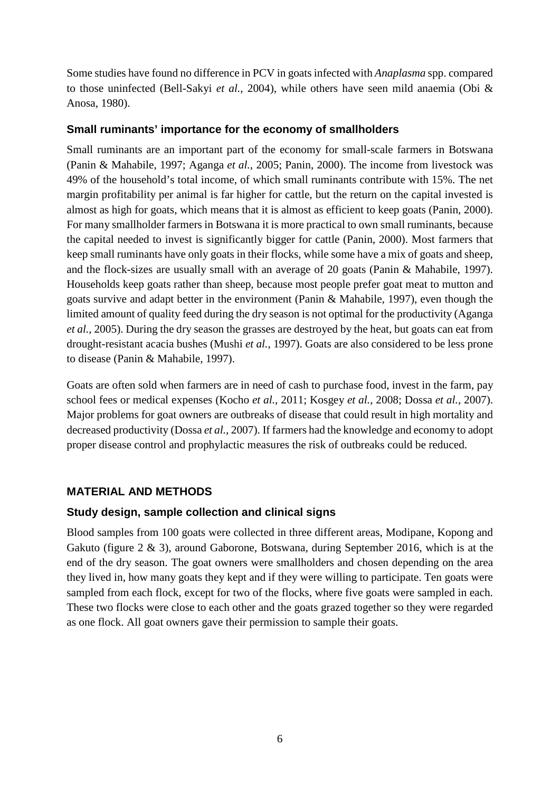Some studies have found no difference in PCV in goats infected with *Anaplasma* spp. compared to those uninfected (Bell-Sakyi *et al.*, 2004), while others have seen mild anaemia (Obi & Anosa, 1980).

#### <span id="page-12-0"></span>**Small ruminants' importance for the economy of smallholders**

Small ruminants are an important part of the economy for small-scale farmers in Botswana (Panin & Mahabile, 1997; Aganga *et al.*, 2005; Panin, 2000). The income from livestock was 49% of the household's total income, of which small ruminants contribute with 15%. The net margin profitability per animal is far higher for cattle, but the return on the capital invested is almost as high for goats, which means that it is almost as efficient to keep goats (Panin, 2000). For many smallholder farmers in Botswana it is more practical to own small ruminants, because the capital needed to invest is significantly bigger for cattle (Panin, 2000). Most farmers that keep small ruminants have only goats in their flocks, while some have a mix of goats and sheep, and the flock-sizes are usually small with an average of 20 goats (Panin & Mahabile, 1997). Households keep goats rather than sheep, because most people prefer goat meat to mutton and goats survive and adapt better in the environment (Panin & Mahabile, 1997), even though the limited amount of quality feed during the dry season is not optimal for the productivity (Aganga *et al.*, 2005). During the dry season the grasses are destroyed by the heat, but goats can eat from drought-resistant acacia bushes (Mushi *et al.*, 1997). Goats are also considered to be less prone to disease (Panin & Mahabile, 1997).

Goats are often sold when farmers are in need of cash to purchase food, invest in the farm, pay school fees or medical expenses (Kocho *et al.*, 2011; Kosgey *et al.*, 2008; Dossa *et al.*, 2007). Major problems for goat owners are outbreaks of disease that could result in high mortality and decreased productivity (Dossa *et al.*, 2007). If farmers had the knowledge and economy to adopt proper disease control and prophylactic measures the risk of outbreaks could be reduced.

#### <span id="page-12-1"></span>**MATERIAL AND METHODS**

#### <span id="page-12-2"></span>**Study design, sample collection and clinical signs**

Blood samples from 100 goats were collected in three different areas, Modipane, Kopong and Gakuto (figure 2 & 3), around Gaborone, Botswana, during September 2016, which is at the end of the dry season. The goat owners were smallholders and chosen depending on the area they lived in, how many goats they kept and if they were willing to participate. Ten goats were sampled from each flock, except for two of the flocks, where five goats were sampled in each. These two flocks were close to each other and the goats grazed together so they were regarded as one flock. All goat owners gave their permission to sample their goats.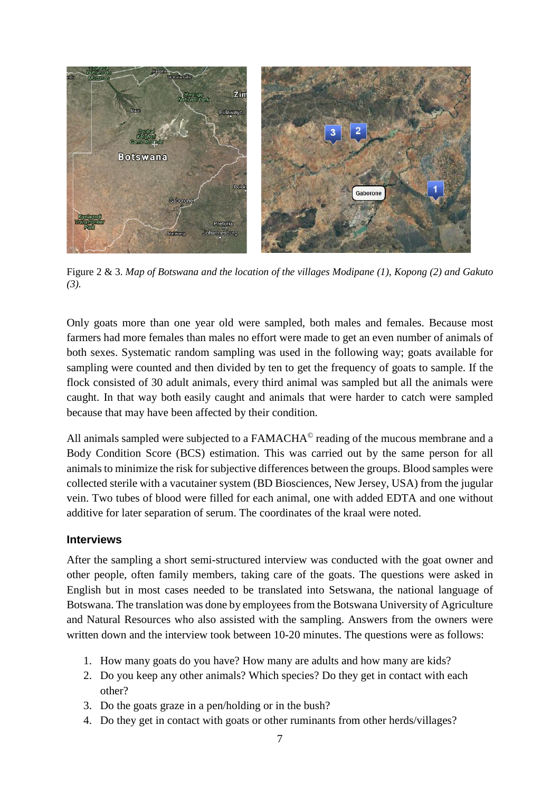

Figure 2 & 3. *Map of Botswana and the location of the villages Modipane (1), Kopong (2) and Gakuto (3).*

Only goats more than one year old were sampled, both males and females. Because most farmers had more females than males no effort were made to get an even number of animals of both sexes. Systematic random sampling was used in the following way; goats available for sampling were counted and then divided by ten to get the frequency of goats to sample. If the flock consisted of 30 adult animals, every third animal was sampled but all the animals were caught. In that way both easily caught and animals that were harder to catch were sampled because that may have been affected by their condition.

All animals sampled were subjected to a FAMACHA<sup>©</sup> reading of the mucous membrane and a Body Condition Score (BCS) estimation. This was carried out by the same person for all animals to minimize the risk for subjective differences between the groups. Blood samples were collected sterile with a vacutainer system (BD Biosciences, New Jersey, USA) from the jugular vein. Two tubes of blood were filled for each animal, one with added EDTA and one without additive for later separation of serum. The coordinates of the kraal were noted.

#### <span id="page-13-0"></span>**Interviews**

After the sampling a short semi-structured interview was conducted with the goat owner and other people, often family members, taking care of the goats. The questions were asked in English but in most cases needed to be translated into Setswana, the national language of Botswana. The translation was done by employees from the Botswana University of Agriculture and Natural Resources who also assisted with the sampling. Answers from the owners were written down and the interview took between 10-20 minutes. The questions were as follows:

- 1. How many goats do you have? How many are adults and how many are kids?
- 2. Do you keep any other animals? Which species? Do they get in contact with each other?
- 3. Do the goats graze in a pen/holding or in the bush?
- 4. Do they get in contact with goats or other ruminants from other herds/villages?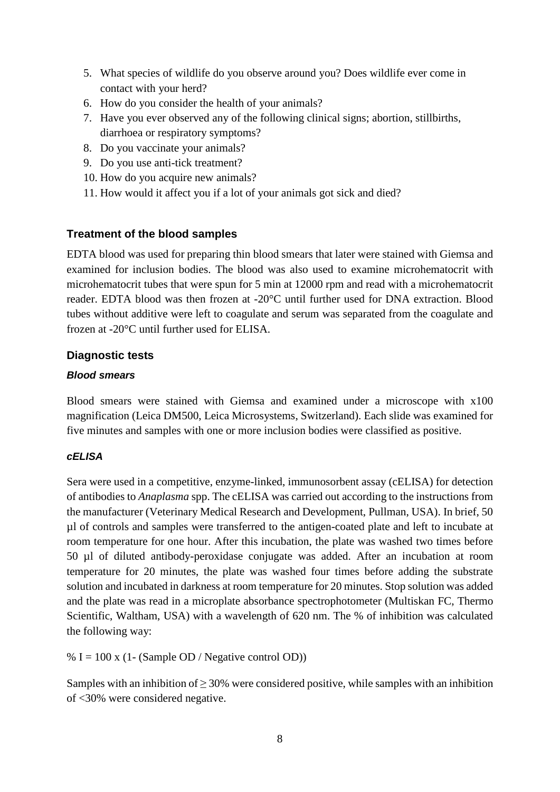- 5. What species of wildlife do you observe around you? Does wildlife ever come in contact with your herd?
- 6. How do you consider the health of your animals?
- 7. Have you ever observed any of the following clinical signs; abortion, stillbirths, diarrhoea or respiratory symptoms?
- 8. Do you vaccinate your animals?
- 9. Do you use anti-tick treatment?
- 10. How do you acquire new animals?
- 11. How would it affect you if a lot of your animals got sick and died?

## <span id="page-14-0"></span>**Treatment of the blood samples**

EDTA blood was used for preparing thin blood smears that later were stained with Giemsa and examined for inclusion bodies. The blood was also used to examine microhematocrit with microhematocrit tubes that were spun for 5 min at 12000 rpm and read with a microhematocrit reader. EDTA blood was then frozen at -20°C until further used for DNA extraction. Blood tubes without additive were left to coagulate and serum was separated from the coagulate and frozen at -20°C until further used for ELISA.

#### <span id="page-14-1"></span>**Diagnostic tests**

#### *Blood smears*

Blood smears were stained with Giemsa and examined under a microscope with x100 magnification (Leica DM500, Leica Microsystems, Switzerland). Each slide was examined for five minutes and samples with one or more inclusion bodies were classified as positive.

#### *cELISA*

Sera were used in a competitive, enzyme-linked, immunosorbent assay (cELISA) for detection of antibodies to *Anaplasma* spp. The cELISA was carried out according to the instructions from the manufacturer (Veterinary Medical Research and Development, Pullman, USA). In brief, 50 µl of controls and samples were transferred to the antigen-coated plate and left to incubate at room temperature for one hour. After this incubation, the plate was washed two times before 50 µl of diluted antibody-peroxidase conjugate was added. After an incubation at room temperature for 20 minutes, the plate was washed four times before adding the substrate solution and incubated in darkness at room temperature for 20 minutes. Stop solution was added and the plate was read in a microplate absorbance spectrophotometer (Multiskan FC, Thermo Scientific, Waltham, USA) with a wavelength of 620 nm. The % of inhibition was calculated the following way:

% I = 100 x (1- (Sample OD / Negative control OD))

Samples with an inhibition of  $\geq$  30% were considered positive, while samples with an inhibition of <30% were considered negative.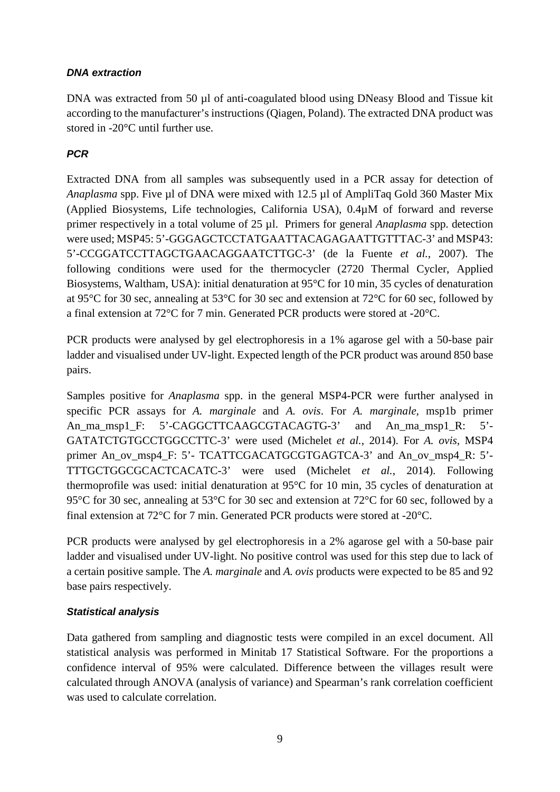#### *DNA extraction*

DNA was extracted from 50 µl of anti-coagulated blood using DNeasy Blood and Tissue kit according to the manufacturer's instructions (Qiagen, Poland). The extracted DNA product was stored in -20°C until further use.

## *PCR*

Extracted DNA from all samples was subsequently used in a PCR assay for detection of *Anaplasma* spp. Five µl of DNA were mixed with 12.5 µl of AmpliTaq Gold 360 Master Mix (Applied Biosystems, Life technologies, California USA), 0.4µM of forward and reverse primer respectively in a total volume of 25 µl. Primers for general *Anaplasma* spp. detection were used; MSP45: 5'-GGGAGCTCCTATGAATTACAGAGAATTGTTTAC-3' and MSP43: 5'-CCGGATCCTTAGCTGAACAGGAATCTTGC-3' (de la Fuente *et al.*, 2007). The following conditions were used for the thermocycler (2720 Thermal Cycler, Applied Biosystems, Waltham, USA): initial denaturation at 95°C for 10 min, 35 cycles of denaturation at 95°C for 30 sec, annealing at 53°C for 30 sec and extension at 72°C for 60 sec, followed by a final extension at 72°C for 7 min. Generated PCR products were stored at -20°C.

PCR products were analysed by gel electrophoresis in a 1% agarose gel with a 50-base pair ladder and visualised under UV-light. Expected length of the PCR product was around 850 base pairs.

Samples positive for *Anaplasma* spp. in the general MSP4-PCR were further analysed in specific PCR assays for *A. marginale* and *A. ovis*. For *A. marginale,* msp1b primer An\_ma\_msp1\_F: 5'-CAGGCTTCAAGCGTACAGTG-3' and An\_ma\_msp1\_R: 5'- GATATCTGTGCCTGGCCTTC-3' were used (Michelet *et al.*, 2014). For *A. ovis,* MSP4 primer An\_ov\_msp4\_F: 5'- TCATTCGACATGCGTGAGTCA-3' and An\_ov\_msp4\_R: 5'-TTTGCTGGCGCACTCACATC-3' were used (Michelet *et al.*, 2014). Following thermoprofile was used: initial denaturation at 95°C for 10 min, 35 cycles of denaturation at 95°C for 30 sec, annealing at 53°C for 30 sec and extension at 72°C for 60 sec, followed by a final extension at 72°C for 7 min. Generated PCR products were stored at -20°C.

PCR products were analysed by gel electrophoresis in a 2% agarose gel with a 50-base pair ladder and visualised under UV-light. No positive control was used for this step due to lack of a certain positive sample. The *A. marginale* and *A. ovis* products were expected to be 85 and 92 base pairs respectively.

#### *Statistical analysis*

Data gathered from sampling and diagnostic tests were compiled in an excel document. All statistical analysis was performed in Minitab 17 Statistical Software. For the proportions a confidence interval of 95% were calculated. Difference between the villages result were calculated through ANOVA (analysis of variance) and Spearman's rank correlation coefficient was used to calculate correlation.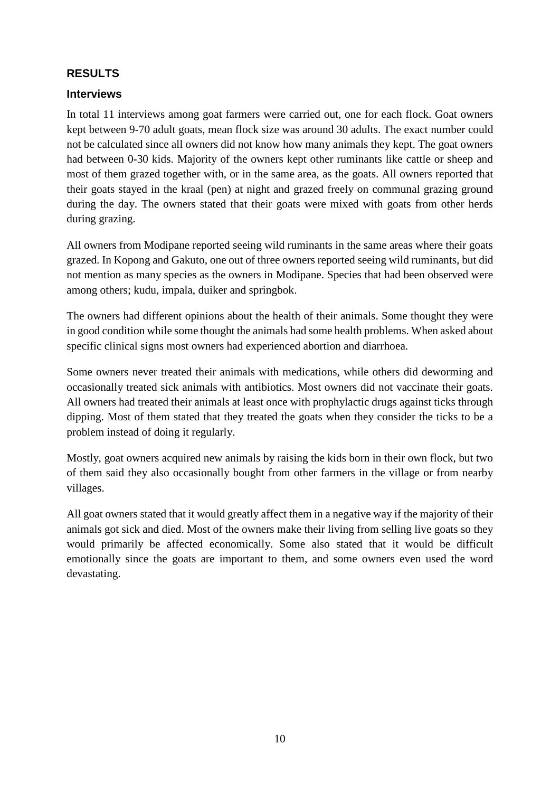## <span id="page-16-0"></span>**RESULTS**

#### <span id="page-16-1"></span>**Interviews**

In total 11 interviews among goat farmers were carried out, one for each flock. Goat owners kept between 9-70 adult goats, mean flock size was around 30 adults. The exact number could not be calculated since all owners did not know how many animals they kept. The goat owners had between 0-30 kids. Majority of the owners kept other ruminants like cattle or sheep and most of them grazed together with, or in the same area, as the goats. All owners reported that their goats stayed in the kraal (pen) at night and grazed freely on communal grazing ground during the day. The owners stated that their goats were mixed with goats from other herds during grazing.

All owners from Modipane reported seeing wild ruminants in the same areas where their goats grazed. In Kopong and Gakuto, one out of three owners reported seeing wild ruminants, but did not mention as many species as the owners in Modipane. Species that had been observed were among others; kudu, impala, duiker and springbok.

The owners had different opinions about the health of their animals. Some thought they were in good condition while some thought the animals had some health problems. When asked about specific clinical signs most owners had experienced abortion and diarrhoea.

Some owners never treated their animals with medications, while others did deworming and occasionally treated sick animals with antibiotics. Most owners did not vaccinate their goats. All owners had treated their animals at least once with prophylactic drugs against ticks through dipping. Most of them stated that they treated the goats when they consider the ticks to be a problem instead of doing it regularly.

Mostly, goat owners acquired new animals by raising the kids born in their own flock, but two of them said they also occasionally bought from other farmers in the village or from nearby villages.

All goat owners stated that it would greatly affect them in a negative way if the majority of their animals got sick and died. Most of the owners make their living from selling live goats so they would primarily be affected economically. Some also stated that it would be difficult emotionally since the goats are important to them, and some owners even used the word devastating.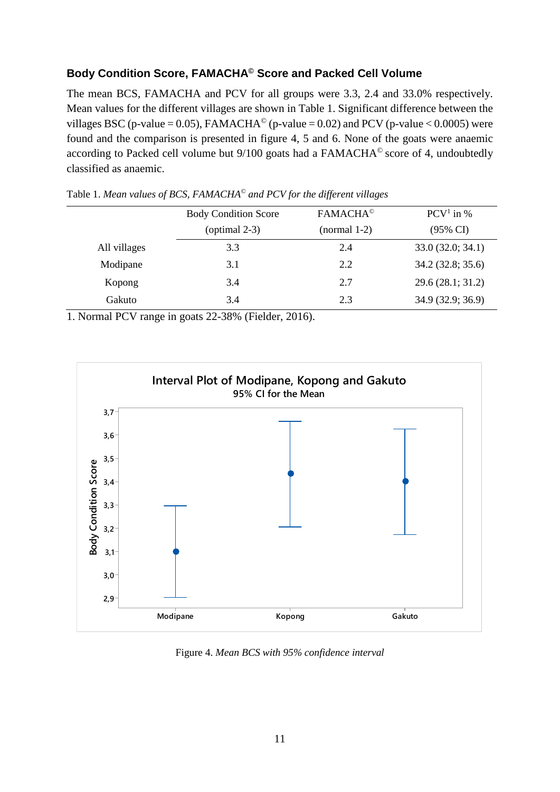## <span id="page-17-0"></span>**Body Condition Score, FAMACHA© Score and Packed Cell Volume**

The mean BCS, FAMACHA and PCV for all groups were 3.3, 2.4 and 33.0% respectively. Mean values for the different villages are shown in Table 1. Significant difference between the villages BSC (p-value = 0.05), FAMACHA<sup>©</sup> (p-value = 0.02) and PCV (p-value < 0.0005) were found and the comparison is presented in figure 4, 5 and 6. None of the goats were anaemic according to Packed cell volume but 9/100 goats had a FAMACHA© score of 4, undoubtedly classified as anaemic.

|              | <b>Body Condition Score</b><br>(optimal $2-3$ ) | <b>FAMACHA<sup>®</sup></b><br>$(normal 1-2)$ | $PCV1$ in %<br>$(95\% \text{ CI})$ |
|--------------|-------------------------------------------------|----------------------------------------------|------------------------------------|
| All villages | 3.3                                             | 2.4                                          | 33.0(32.0; 34.1)                   |
| Modipane     | 3.1                                             | 2.2                                          | 34.2 (32.8; 35.6)                  |
| Kopong       | 3.4                                             | 2.7                                          | 29.6(28.1; 31.2)                   |
| Gakuto       | 3.4                                             | 2.3                                          | 34.9 (32.9; 36.9)                  |

Table 1. *Mean values of BCS, FAMACHA© and PCV for the different villages*

1. Normal PCV range in goats 22-38% (Fielder, 2016).



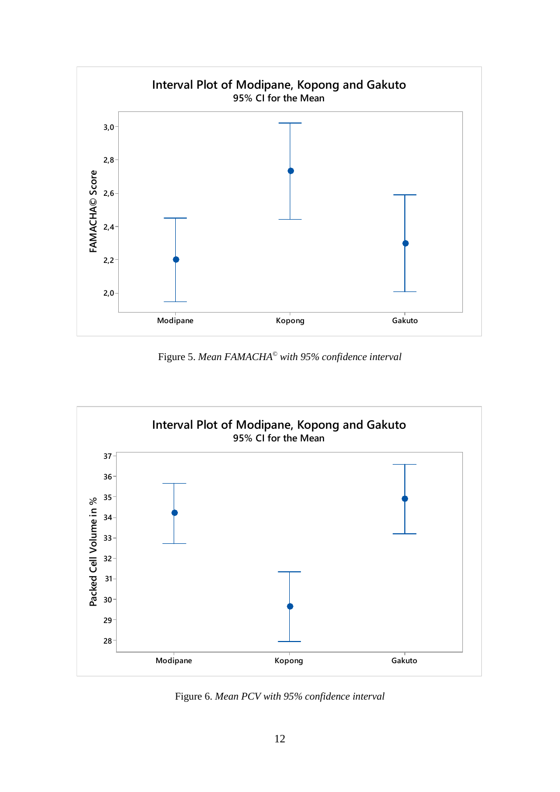

Figure 5. *Mean FAMACHA© with 95% confidence interval*



Figure 6. *Mean PCV with 95% confidence interval*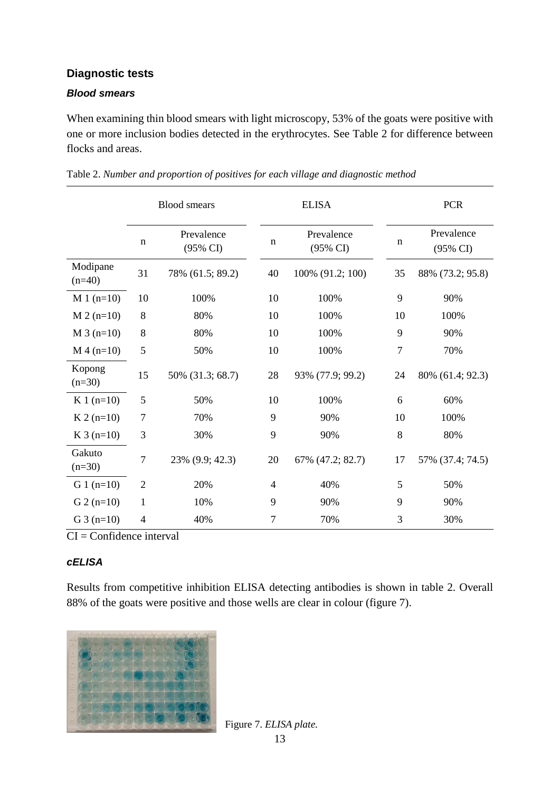## <span id="page-19-0"></span>**Diagnostic tests**

#### *Blood smears*

When examining thin blood smears with light microscopy, 53% of the goats were positive with one or more inclusion bodies detected in the erythrocytes. See Table 2 for difference between flocks and areas.

|                      | <b>Blood</b> smears |                        | <b>ELISA</b>   |                        | <b>PCR</b>     |                        |
|----------------------|---------------------|------------------------|----------------|------------------------|----------------|------------------------|
|                      | $\mathbf n$         | Prevalence<br>(95% CI) | $\mathbf n$    | Prevalence<br>(95% CI) | $\mathbf n$    | Prevalence<br>(95% CI) |
| Modipane<br>$(n=40)$ | 31                  | 78% (61.5; 89.2)       | 40             | 100% (91.2; 100)       | 35             | 88% (73.2; 95.8)       |
| $M_1$ (n=10)         | 10                  | 100%                   | 10             | 100%                   | 9              | 90%                    |
| $M 2 (n=10)$         | 8                   | 80%                    | 10             | 100%                   | 10             | 100%                   |
| $M_3$ (n=10)         | 8                   | 80%                    | 10             | 100%                   | 9              | 90%                    |
| $M$ 4 (n=10)         | 5                   | 50%                    | 10             | 100%                   | $\overline{7}$ | 70%                    |
| Kopong<br>$(n=30)$   | 15                  | 50% (31.3; 68.7)       | 28             | 93% (77.9; 99.2)       | 24             | 80% (61.4; 92.3)       |
| $K1(n=10)$           | 5                   | 50%                    | 10             | 100%                   | 6              | 60%                    |
| $K 2 (n=10)$         | 7                   | 70%                    | 9              | 90%                    | 10             | 100%                   |
| $K3(n=10)$           | 3                   | 30%                    | 9              | 90%                    | 8              | 80%                    |
| Gakuto<br>$(n=30)$   | 7                   | 23% (9.9; 42.3)        | 20             | 67% (47.2; 82.7)       | 17             | 57% (37.4; 74.5)       |
| $G_1$ (n=10)         | $\overline{2}$      | 20%                    | $\overline{4}$ | 40%                    | 5              | 50%                    |
| $G$ 2 (n=10)         | $\mathbf{1}$        | 10%                    | 9              | 90%                    | 9              | 90%                    |
| G $3(n=10)$          | $\overline{4}$      | 40%                    | 7              | 70%                    | 3              | 30%                    |

| Table 2. Number and proportion of positives for each village and diagnostic method |  |  |  |
|------------------------------------------------------------------------------------|--|--|--|
|                                                                                    |  |  |  |

 $CI =$ Confidence interval

#### *cELISA*

Results from competitive inhibition ELISA detecting antibodies is shown in table 2. Overall 88% of the goats were positive and those wells are clear in colour (figure 7).



Figure 7. *ELISA plate.*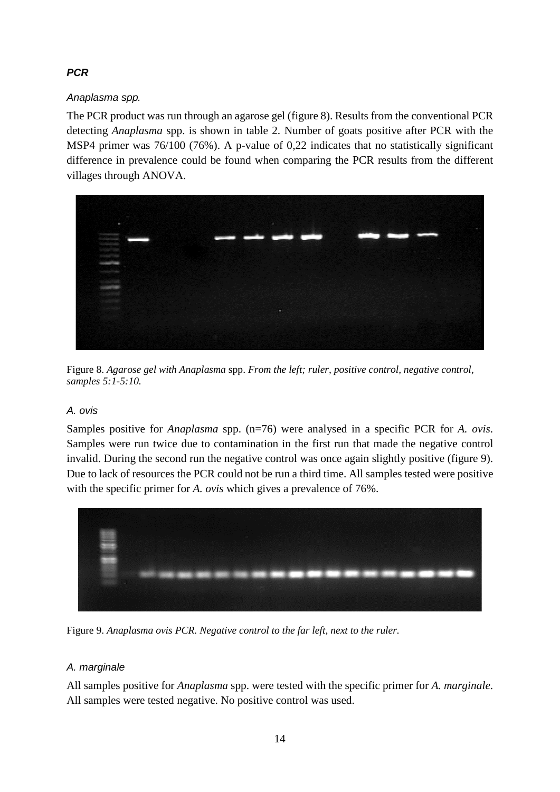## *PCR*

## *Anaplasma spp.*

The PCR product was run through an agarose gel (figure 8). Results from the conventional PCR detecting *Anaplasma* spp. is shown in table 2. Number of goats positive after PCR with the MSP4 primer was 76/100 (76%). A p-value of 0,22 indicates that no statistically significant difference in prevalence could be found when comparing the PCR results from the different villages through ANOVA.



Figure 8. *Agarose gel with Anaplasma* spp. *From the left; ruler, positive control, negative control, samples 5:1-5:10.*

## *A. ovis*

Samples positive for *Anaplasma* spp. (n=76) were analysed in a specific PCR for *A. ovis*. Samples were run twice due to contamination in the first run that made the negative control invalid. During the second run the negative control was once again slightly positive (figure 9). Due to lack of resources the PCR could not be run a third time. All samples tested were positive with the specific primer for *A. ovis* which gives a prevalence of 76%.



Figure 9. *Anaplasma ovis PCR. Negative control to the far left, next to the ruler.*

## *A. marginale*

All samples positive for *Anaplasma* spp. were tested with the specific primer for *A. marginale*. All samples were tested negative. No positive control was used.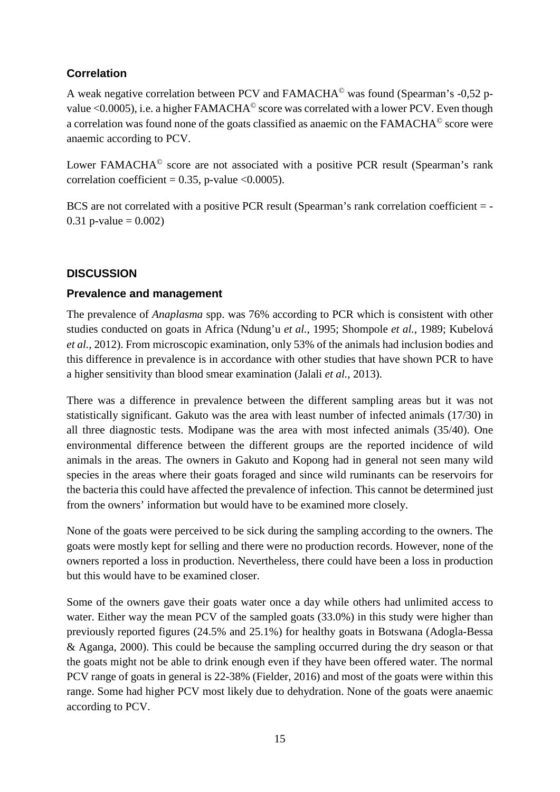## <span id="page-21-0"></span>**Correlation**

A weak negative correlation between PCV and FAMACHA© was found (Spearman's -0,52 pvalue  $\leq 0.0005$ ), i.e. a higher FAMACHA<sup>©</sup> score was correlated with a lower PCV. Even though a correlation was found none of the goats classified as anaemic on the FAMACHA© score were anaemic according to PCV.

Lower FAMACHA<sup>©</sup> score are not associated with a positive PCR result (Spearman's rank correlation coefficient =  $0.35$ , p-value < $0.0005$ ).

BCS are not correlated with a positive PCR result (Spearman's rank correlation coefficient = -0.31 p-value =  $0.002$ )

## <span id="page-21-1"></span>**DISCUSSION**

## <span id="page-21-2"></span>**Prevalence and management**

The prevalence of *Anaplasma* spp. was 76% according to PCR which is consistent with other studies conducted on goats in Africa (Ndung'u *et al.*, 1995; Shompole *et al.*, 1989; Kubelová *et al.*, 2012). From microscopic examination, only 53% of the animals had inclusion bodies and this difference in prevalence is in accordance with other studies that have shown PCR to have a higher sensitivity than blood smear examination (Jalali *et al.*, 2013).

There was a difference in prevalence between the different sampling areas but it was not statistically significant. Gakuto was the area with least number of infected animals (17/30) in all three diagnostic tests. Modipane was the area with most infected animals (35/40). One environmental difference between the different groups are the reported incidence of wild animals in the areas. The owners in Gakuto and Kopong had in general not seen many wild species in the areas where their goats foraged and since wild ruminants can be reservoirs for the bacteria this could have affected the prevalence of infection. This cannot be determined just from the owners' information but would have to be examined more closely.

None of the goats were perceived to be sick during the sampling according to the owners. The goats were mostly kept for selling and there were no production records. However, none of the owners reported a loss in production. Nevertheless, there could have been a loss in production but this would have to be examined closer.

Some of the owners gave their goats water once a day while others had unlimited access to water. Either way the mean PCV of the sampled goats (33.0%) in this study were higher than previously reported figures (24.5% and 25.1%) for healthy goats in Botswana (Adogla-Bessa & Aganga, 2000). This could be because the sampling occurred during the dry season or that the goats might not be able to drink enough even if they have been offered water. The normal PCV range of goats in general is 22-38% (Fielder, 2016) and most of the goats were within this range. Some had higher PCV most likely due to dehydration. None of the goats were anaemic according to PCV.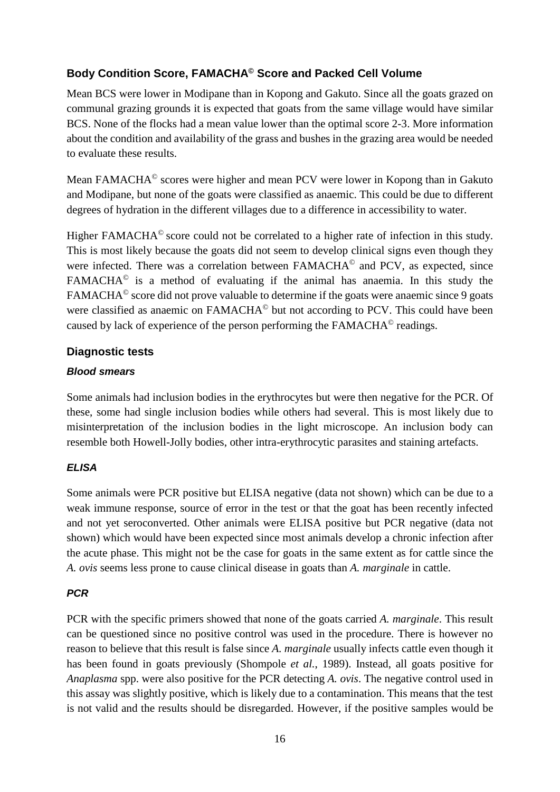## <span id="page-22-0"></span>**Body Condition Score, FAMACHA© Score and Packed Cell Volume**

Mean BCS were lower in Modipane than in Kopong and Gakuto. Since all the goats grazed on communal grazing grounds it is expected that goats from the same village would have similar BCS. None of the flocks had a mean value lower than the optimal score 2-3. More information about the condition and availability of the grass and bushes in the grazing area would be needed to evaluate these results.

Mean FAMACHA© scores were higher and mean PCV were lower in Kopong than in Gakuto and Modipane, but none of the goats were classified as anaemic. This could be due to different degrees of hydration in the different villages due to a difference in accessibility to water.

Higher FAMACHA<sup>©</sup> score could not be correlated to a higher rate of infection in this study. This is most likely because the goats did not seem to develop clinical signs even though they were infected. There was a correlation between FAMACHA<sup>®</sup> and PCV, as expected, since FAMACHA© is a method of evaluating if the animal has anaemia. In this study the FAMACHA<sup>©</sup> score did not prove valuable to determine if the goats were anaemic since 9 goats were classified as anaemic on FAMACHA<sup>©</sup> but not according to PCV. This could have been caused by lack of experience of the person performing the FAMACHA© readings.

#### <span id="page-22-1"></span>**Diagnostic tests**

#### *Blood smears*

Some animals had inclusion bodies in the erythrocytes but were then negative for the PCR. Of these, some had single inclusion bodies while others had several. This is most likely due to misinterpretation of the inclusion bodies in the light microscope. An inclusion body can resemble both Howell-Jolly bodies, other intra-erythrocytic parasites and staining artefacts.

## *ELISA*

Some animals were PCR positive but ELISA negative (data not shown) which can be due to a weak immune response, source of error in the test or that the goat has been recently infected and not yet seroconverted. Other animals were ELISA positive but PCR negative (data not shown) which would have been expected since most animals develop a chronic infection after the acute phase. This might not be the case for goats in the same extent as for cattle since the *A. ovis* seems less prone to cause clinical disease in goats than *A. marginale* in cattle.

#### *PCR*

PCR with the specific primers showed that none of the goats carried *A. marginale*. This result can be questioned since no positive control was used in the procedure. There is however no reason to believe that this result is false since *A. marginale* usually infects cattle even though it has been found in goats previously (Shompole *et al.*, 1989). Instead, all goats positive for *Anaplasma* spp. were also positive for the PCR detecting *A. ovis*. The negative control used in this assay was slightly positive, which is likely due to a contamination. This means that the test is not valid and the results should be disregarded. However, if the positive samples would be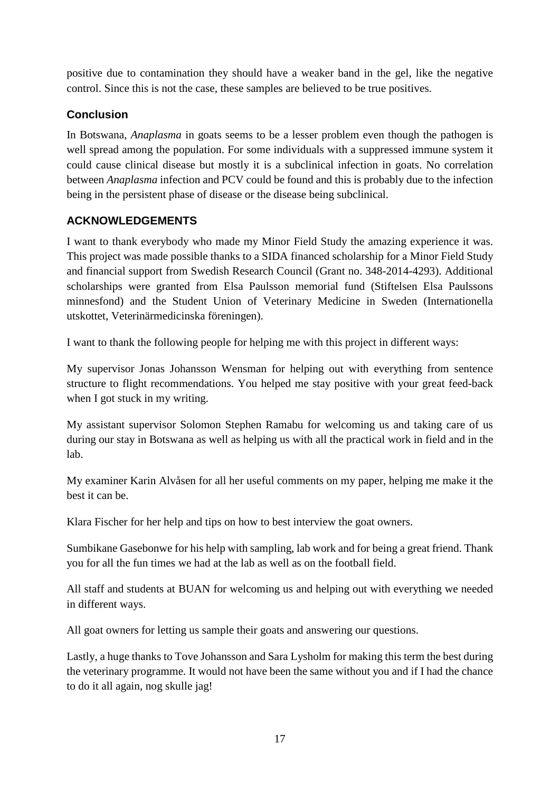positive due to contamination they should have a weaker band in the gel, like the negative control. Since this is not the case, these samples are believed to be true positives.

## <span id="page-23-0"></span>**Conclusion**

In Botswana, *Anaplasma* in goats seems to be a lesser problem even though the pathogen is well spread among the population. For some individuals with a suppressed immune system it could cause clinical disease but mostly it is a subclinical infection in goats. No correlation between *Anaplasma* infection and PCV could be found and this is probably due to the infection being in the persistent phase of disease or the disease being subclinical.

## <span id="page-23-1"></span>**ACKNOWLEDGEMENTS**

I want to thank everybody who made my Minor Field Study the amazing experience it was. This project was made possible thanks to a SIDA financed scholarship for a Minor Field Study and financial support from Swedish Research Council (Grant no. 348-2014-4293). Additional scholarships were granted from Elsa Paulsson memorial fund (Stiftelsen Elsa Paulssons minnesfond) and the Student Union of Veterinary Medicine in Sweden (Internationella utskottet, Veterinärmedicinska föreningen).

I want to thank the following people for helping me with this project in different ways:

My supervisor Jonas Johansson Wensman for helping out with everything from sentence structure to flight recommendations. You helped me stay positive with your great feed-back when I got stuck in my writing.

My assistant supervisor Solomon Stephen Ramabu for welcoming us and taking care of us during our stay in Botswana as well as helping us with all the practical work in field and in the lab.

My examiner Karin Alvåsen for all her useful comments on my paper, helping me make it the best it can be.

Klara Fischer for her help and tips on how to best interview the goat owners.

Sumbikane Gasebonwe for his help with sampling, lab work and for being a great friend. Thank you for all the fun times we had at the lab as well as on the football field.

All staff and students at BUAN for welcoming us and helping out with everything we needed in different ways.

All goat owners for letting us sample their goats and answering our questions.

Lastly, a huge thanks to Tove Johansson and Sara Lysholm for making this term the best during the veterinary programme. It would not have been the same without you and if I had the chance to do it all again, nog skulle jag!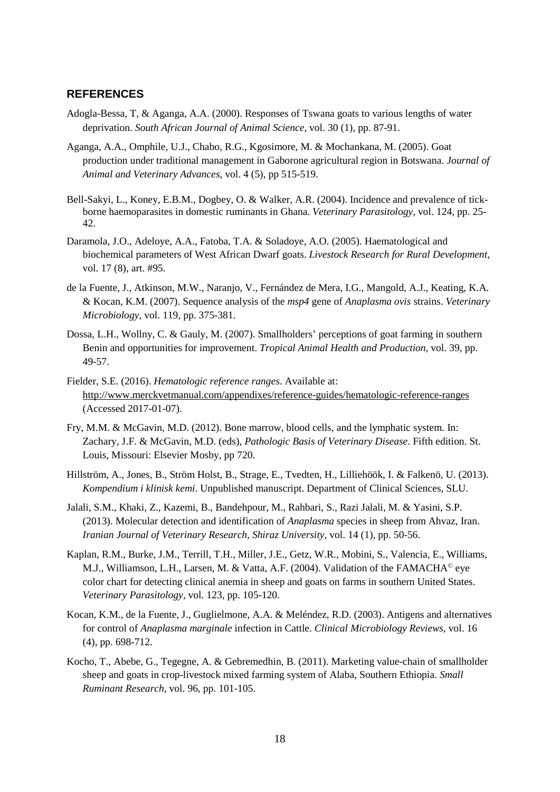#### <span id="page-24-0"></span>**REFERENCES**

- Adogla-Bessa, T, & Aganga, A.A. (2000). Responses of Tswana goats to various lengths of water deprivation. *South African Journal of Animal Science*, vol. 30 (1), pp. 87-91.
- Aganga, A.A., Omphile, U.J., Chabo, R.G., Kgosimore, M. & Mochankana, M. (2005). Goat production under traditional management in Gaborone agricultural region in Botswana. *Journal of Animal and Veterinary Advances*, vol. 4 (5), pp 515-519.
- Bell-Sakyi, L., Koney, E.B.M., Dogbey, O. & Walker, A.R. (2004). Incidence and prevalence of tickborne haemoparasites in domestic ruminants in Ghana. *Veterinary Parasitology*, vol. 124, pp. 25- 42.
- Daramola, J.O., Adeloye, A.A., Fatoba, T.A. & Soladoye, A.O. (2005). Haematological and biochemical parameters of West African Dwarf goats. *Livestock Research for Rural Development*, vol. 17 (8), art. #95.
- de la Fuente, J., Atkinson, M.W., Naranjo, V., Fernández de Mera, I.G., Mangold, A.J., Keating, K.A. & Kocan, K.M. (2007). Sequence analysis of the *msp4* gene of *Anaplasma ovis* strains. *Veterinary Microbiology*, vol. 119, pp. 375-381.
- Dossa, L.H., Wollny, C. & Gauly, M. (2007). Smallholders' perceptions of goat farming in southern Benin and opportunities for improvement. *Tropical Animal Health and Production*, vol. 39, pp. 49-57.
- Fielder, S.E. (2016). *Hematologic reference ranges*. Available at: <http://www.merckvetmanual.com/appendixes/reference-guides/hematologic-reference-ranges> (Accessed 2017-01-07).
- Fry, M.M. & McGavin, M.D. (2012). Bone marrow, blood cells, and the lymphatic system. In: Zachary, J.F. & McGavin, M.D. (eds), *Pathologic Basis of Veterinary Disease*. Fifth edition. St. Louis, Missouri: Elsevier Mosby, pp 720.
- Hillström, A., Jones, B., Ström Holst, B., Strage, E., Tvedten, H., Lilliehöök, I. & Falkenö, U. (2013). *Kompendium i klinisk kemi*. Unpublished manuscript. Department of Clinical Sciences, SLU.
- Jalali, S.M., Khaki, Z., Kazemi, B., Bandehpour, M., Rahbari, S., Razi Jalali, M. & Yasini, S.P. (2013). Molecular detection and identification of *Anaplasma* species in sheep from Ahvaz, Iran. *Iranian Journal of Veterinary Research, Shiraz University*, vol. 14 (1), pp. 50-56.
- Kaplan, R.M., Burke, J.M., Terrill, T.H., Miller, J.E., Getz, W.R., Mobini, S., Valencia, E., Williams, M.J., Williamson, L.H., Larsen, M. & Vatta, A.F. (2004). Validation of the FAMACHA© eye color chart for detecting clinical anemia in sheep and goats on farms in southern United States. *Veterinary Parasitology*, vol. 123, pp. 105-120.
- Kocan, K.M., de la Fuente, J., Guglielmone, A.A. & Meléndez, R.D. (2003). Antigens and alternatives for control of *Anaplasma marginale* infection in Cattle. *Clinical Microbiology Reviews*, vol. 16 (4), pp. 698-712.
- Kocho, T., Abebe, G., Tegegne, A. & Gebremedhin, B. (2011). Marketing value-chain of smallholder sheep and goats in crop-livestock mixed farming system of Alaba, Southern Ethiopia. *Small Ruminant Research*, vol. 96, pp. 101-105.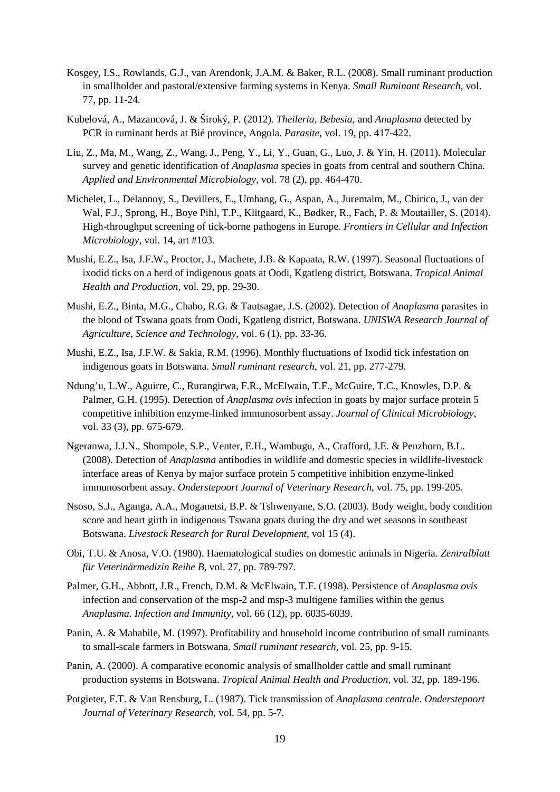- Kosgey, I.S., Rowlands, G.J., van Arendonk, J.A.M. & Baker, R.L. (2008). Small ruminant production in smallholder and pastoral/extensive farming systems in Kenya. *Small Ruminant Research*, vol. 77, pp. 11-24.
- Kubelová, A., Mazancová, J. & Široký, P. (2012). *Theileria, Bebesia,* and *Anaplasma* detected by PCR in ruminant herds at Bié province, Angola. *Parasite*, vol. 19, pp. 417-422.
- Liu, Z., Ma, M., Wang, Z., Wang, J., Peng, Y., Li, Y., Guan, G., Luo, J. & Yin, H. (2011). Molecular survey and genetic identification of *Anaplasma* species in goats from central and southern China. *Applied and Environmental Microbiology*, vol. 78 (2), pp. 464-470.
- Michelet, L., Delannoy, S., Devillers, E., Umhang, G., Aspan, A., Juremalm, M., Chirico, J., van der Wal, F.J., Sprong, H., Boye Pihl, T.P., Klitgaard, K., Bødker, R., Fach, P. & Moutailler, S. (2014). High-throughput screening of tick-borne pathogens in Europe. *Frontiers in Cellular and Infection Microbiology*, vol. 14, art #103.
- Mushi, E.Z., Isa, J.F.W., Proctor, J., Machete, J.B. & Kapaata, R.W. (1997). Seasonal fluctuations of ixodid ticks on a herd of indigenous goats at Oodi, Kgatleng district, Botswana. *Tropical Animal Health and Production*, vol. 29, pp. 29-30.
- Mushi, E.Z., Binta, M.G., Chabo, R.G. & Tautsagae, J.S. (2002). Detection of *Anaplasma* parasites in the blood of Tswana goats from Oodi, Kgatleng district, Botswana. *UNISWA Research Journal of Agriculture, Science and Technology*, vol. 6 (1), pp. 33-36.
- Mushi, E.Z., Isa, J.F.W. & Sakia, R.M. (1996). Monthly fluctuations of Ixodid tick infestation on indigenous goats in Botswana. *Small ruminant research*, vol. 21, pp. 277-279.
- Ndung'u, L.W., Aguirre, C., Rurangirwa, F.R., McElwain, T.F., McGuire, T.C., Knowles, D.P. & Palmer, G.H. (1995). Detection of *Anaplasma ovis* infection in goats by major surface protein 5 competitive inhibition enzyme-linked immunosorbent assay. *Journal of Clinical Microbiology*, vol. 33 (3), pp. 675-679.
- Ngeranwa, J.J.N., Shompole, S.P., Venter, E.H., Wambugu, A., Crafford, J.E. & Penzhorn, B.L. (2008). Detection of *Anaplasma* antibodies in wildlife and domestic species in wildlife-livestock interface areas of Kenya by major surface protein 5 competitive inhibition enzyme-linked immunosorbent assay. *Onderstepoort Journal of Veterinary Research*, vol. 75, pp. 199-205.
- Nsoso, S.J., Aganga, A.A., Moganetsi, B.P. & Tshwenyane, S.O. (2003). Body weight, body condition score and heart girth in indigenous Tswana goats during the dry and wet seasons in southeast Botswana. *Livestock Research for Rural Development*, vol 15 (4).
- Obi, T.U. & Anosa, V.O. (1980). Haematological studies on domestic animals in Nigeria. *Zentralblatt für Veterinärmedizin Reihe B,* vol. 27, pp. 789-797.
- Palmer, G.H., Abbott, J.R., French, D.M. & McElwain, T.F. (1998). Persistence of *Anaplasma ovis*  infection and conservation of the msp-2 and msp-3 multigene families within the genus *Anaplasma*. *Infection and Immunity*, vol. 66 (12), pp. 6035-6039.
- Panin, A. & Mahabile, M. (1997). Profitability and household income contribution of small ruminants to small-scale farmers in Botswana. *Small ruminant research*, vol. 25, pp. 9-15.
- Panin, A. (2000). A comparative economic analysis of smallholder cattle and small ruminant production systems in Botswana. *Tropical Animal Health and Production*, vol. 32, pp. 189-196.
- Potgieter, F.T. & Van Rensburg, L. (1987). Tick transmission of *Anaplasma centrale*. *Onderstepoort Journal of Veterinary Research*, vol. 54, pp. 5-7.